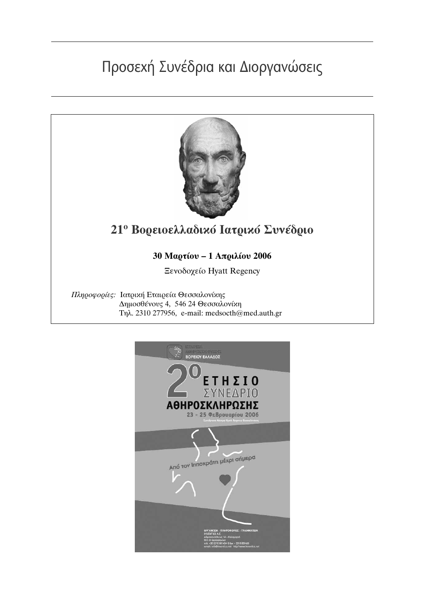# Προσεχή Συνέδρια και Διοργανώσεις



### 21<sup>°</sup> Βορειοελλαδικό Ιατρικό Συνέδριο

#### 30 Μαρτίου - 1 Απριλίου 2006

Ξενοδοχείο Hyatt Regency

Πληροφορίες: Ιατρική Εταιρεία Θεσσαλονίκης Δημοσθένους 4, 546 24 Θεσσαλονίκη Τηλ. 2310 277956, e-mail: medsocth@med.auth.gr

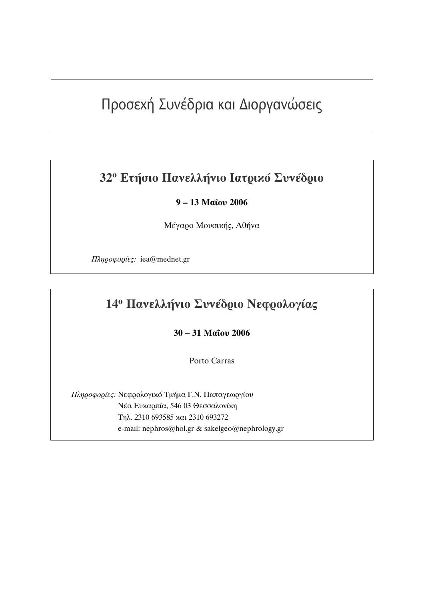## Προσεχή Συνέδρια και Διοργανώσεις

### 32<sup>°</sup> Ετήσιο Πανελλήνιο Ιατρικό Συνέδριο

#### 9-13 Μαΐου 2006

Μέγαρο Μουσικής, Αθήνα

Πληροφορίες: iea@mednet.gr

#### 14<sup>°</sup> Πανελλήνιο Συνέδριο Νεφρολογίας

30 - 31 Μαΐου 2006

Porto Carras

Πληροφορίες: Νεφρολογικό Τμήμα Γ.Ν. Παπαγεωργίου Νέα Ευκαρπία, 546 03 Θεσσαλονίκη Τηλ. 2310 693585 και 2310 693272 e-mail: nephros@hol.gr & sakelgeo@nephrology.gr